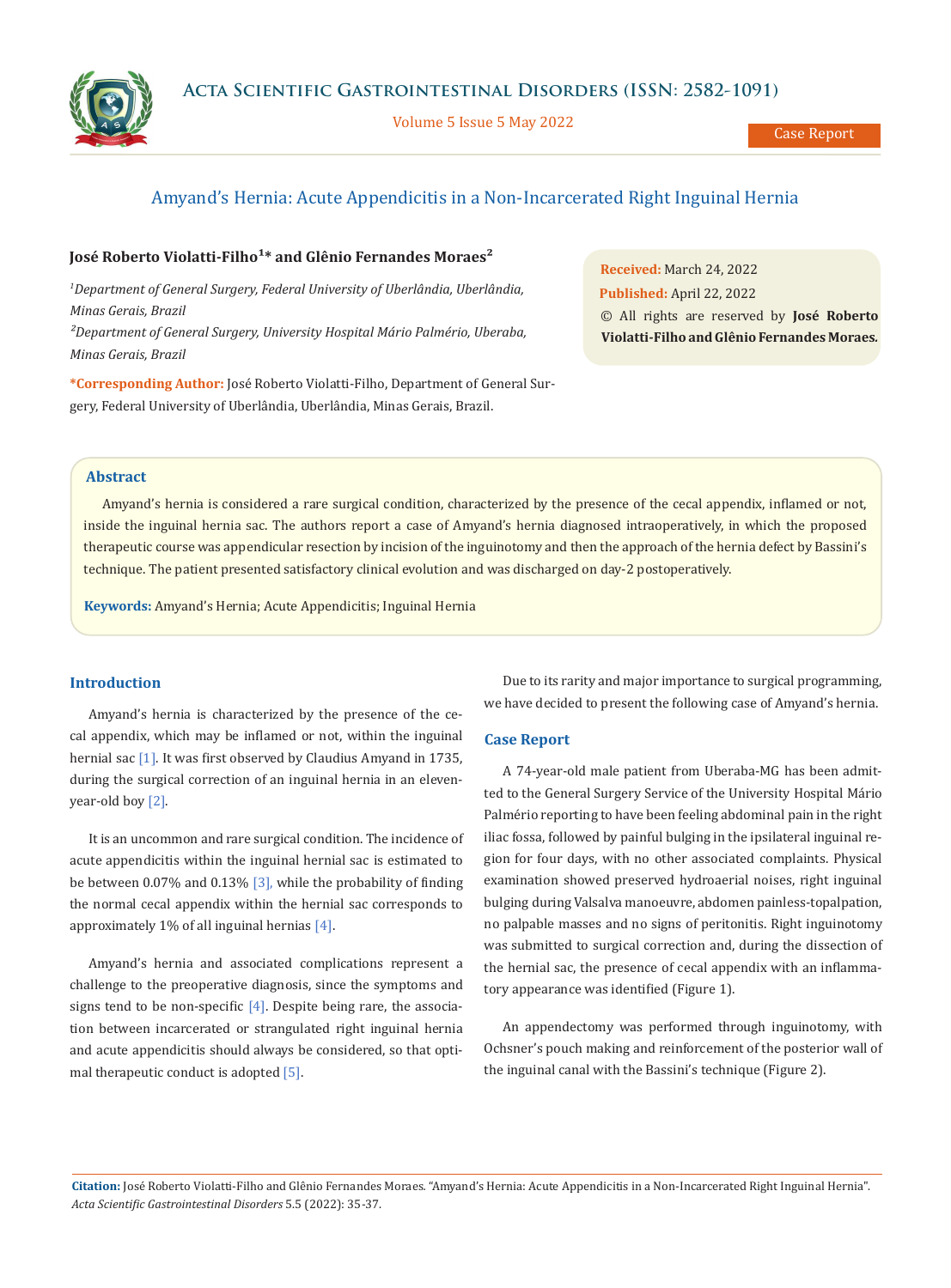

Volume 5 Issue 5 May 2022



Case Report

# Amyand's Hernia: Acute Appendicitis in a Non-Incarcerated Right Inguinal Hernia

# José Roberto Violatti-Filho<sup>1</sup>\* and Glênio Fernandes Moraes<sup>2</sup>

*1 Department of General Surgery, Federal University of Uberlândia, Uberlândia, Minas Gerais, Brazil ²Department of General Surgery, University Hospital Mário Palmério, Uberaba, Minas Gerais, Brazil* 

**\*Corresponding Author:** José Roberto Violatti-Filho, Department of General Surgery, Federal University of Uberlândia, Uberlândia, Minas Gerais, Brazil.

**Received:** March 24, 2022 **Published:** April 22, 2022 © All rights are reserved by **José Roberto Violatti-Filho and Glênio Fernandes Moraes***.*

### **Abstract**

Amyand's hernia is considered a rare surgical condition, characterized by the presence of the cecal appendix, inflamed or not, inside the inguinal hernia sac. The authors report a case of Amyand's hernia diagnosed intraoperatively, in which the proposed therapeutic course was appendicular resection by incision of the inguinotomy and then the approach of the hernia defect by Bassini's technique. The patient presented satisfactory clinical evolution and was discharged on day-2 postoperatively.

**Keywords:** Amyand's Hernia; Acute Appendicitis; Inguinal Hernia

# **Introduction**

Amyand's hernia is characterized by the presence of the cecal appendix, which may be inflamed or not, within the inguinal hernial sac [1]. It was first observed by Claudius Amyand in 1735, during the surgical correction of an inguinal hernia in an elevenyear-old boy [2].

It is an uncommon and rare surgical condition. The incidence of acute appendicitis within the inguinal hernial sac is estimated to be between 0.07% and 0.13% [3], while the probability of finding the normal cecal appendix within the hernial sac corresponds to approximately 1% of all inguinal hernias [4].

Amyand's hernia and associated complications represent a challenge to the preoperative diagnosis, since the symptoms and signs tend to be non-specific  $[4]$ . Despite being rare, the association between incarcerated or strangulated right inguinal hernia and acute appendicitis should always be considered, so that optimal therapeutic conduct is adopted [5].

Due to its rarity and major importance to surgical programming, we have decided to present the following case of Amyand's hernia.

### **Case Report**

A 74-year-old male patient from Uberaba-MG has been admitted to the General Surgery Service of the University Hospital Mário Palmério reporting to have been feeling abdominal pain in the right iliac fossa, followed by painful bulging in the ipsilateral inguinal region for four days, with no other associated complaints. Physical examination showed preserved hydroaerial noises, right inguinal bulging during Valsalva manoeuvre, abdomen painless-topalpation, no palpable masses and no signs of peritonitis. Right inguinotomy was submitted to surgical correction and, during the dissection of the hernial sac, the presence of cecal appendix with an inflammatory appearance was identified (Figure 1).

An appendectomy was performed through inguinotomy, with Ochsner's pouch making and reinforcement of the posterior wall of the inguinal canal with the Bassini's technique (Figure 2).

**Citation:** José Roberto Violatti-Filho and Glênio Fernandes Moraes*.* "Amyand's Hernia: Acute Appendicitis in a Non-Incarcerated Right Inguinal Hernia". *Acta Scientific Gastrointestinal Disorders* 5.5 (2022): 35-37.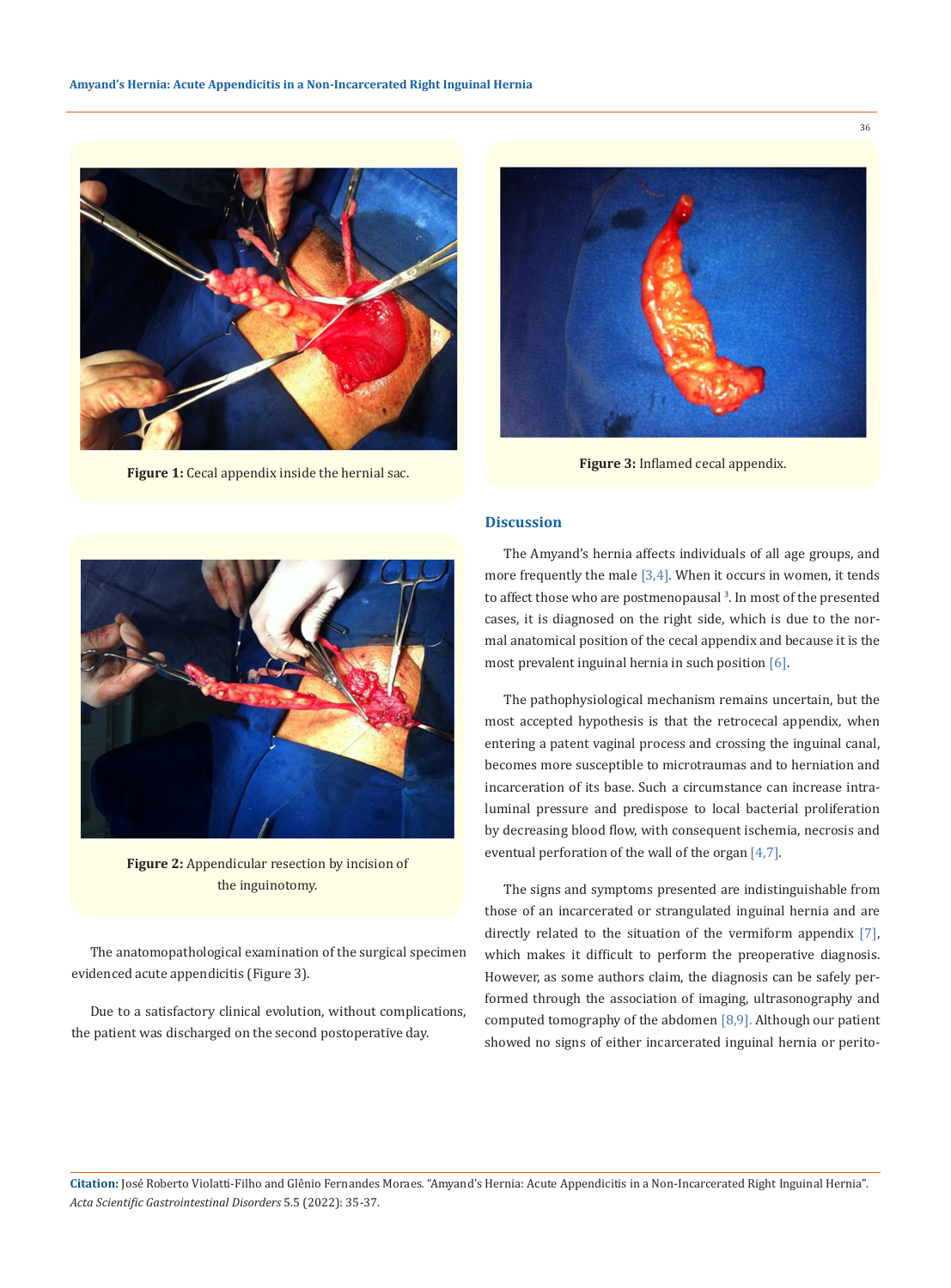

**Figure 1:** Cecal appendix inside the hernial sac.



**Figure 3:** Inflamed cecal appendix.

## **Discussion**



**Figure 2:** Appendicular resection by incision of the inguinotomy.

The anatomopathological examination of the surgical specimen evidenced acute appendicitis (Figure 3).

Due to a satisfactory clinical evolution, without complications, the patient was discharged on the second postoperative day.

The Amyand's hernia affects individuals of all age groups, and more frequently the male  $[3,4]$ . When it occurs in women, it tends to affect those who are postmenopausal<sup>3</sup>. In most of the presented cases, it is diagnosed on the right side, which is due to the normal anatomical position of the cecal appendix and because it is the most prevalent inguinal hernia in such position [6].

The pathophysiological mechanism remains uncertain, but the most accepted hypothesis is that the retrocecal appendix, when entering a patent vaginal process and crossing the inguinal canal, becomes more susceptible to microtraumas and to herniation and incarceration of its base. Such a circumstance can increase intraluminal pressure and predispose to local bacterial proliferation by decreasing blood flow, with consequent ischemia, necrosis and eventual perforation of the wall of the organ [4,7].

The signs and symptoms presented are indistinguishable from those of an incarcerated or strangulated inguinal hernia and are directly related to the situation of the vermiform appendix [7], which makes it difficult to perform the preoperative diagnosis. However, as some authors claim, the diagnosis can be safely performed through the association of imaging, ultrasonography and computed tomography of the abdomen [8,9]. Although our patient showed no signs of either incarcerated inguinal hernia or perito-

**Citation:** José Roberto Violatti-Filho and Glênio Fernandes Moraes*.* "Amyand's Hernia: Acute Appendicitis in a Non-Incarcerated Right Inguinal Hernia". *Acta Scientific Gastrointestinal Disorders* 5.5 (2022): 35-37.